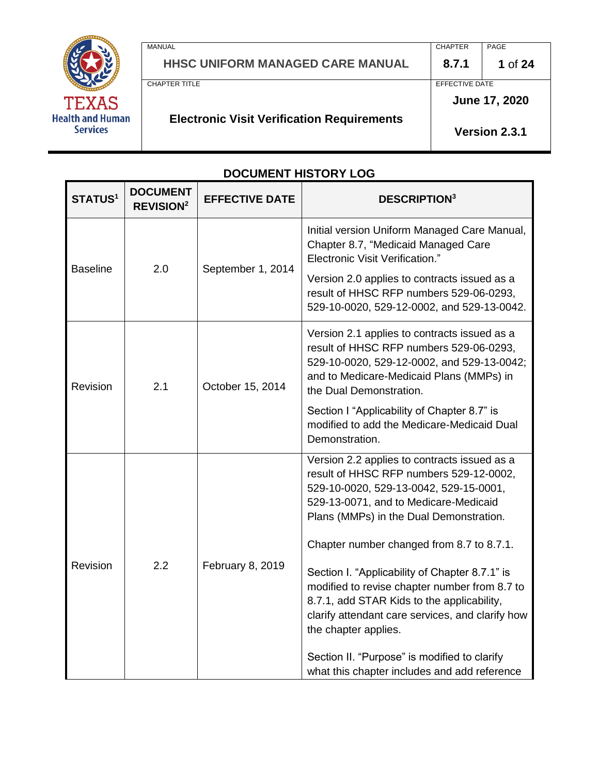

MANUAL **HHSC UNIFORM MANAGED CARE MANUAL**  CHAPTER **8.7.1**  PAGE **1** of **24** CHAPTER TITLE **Electronic Visit Verification Requirements** EFFECTIVE DATE **June 17, 2020** 

**Version 2.3.1**

# **DOCUMENT HISTORY LOG**

| <b>STATUS<sup>1</sup></b> | <b>DOCUMENT</b><br><b>REVISION<sup>2</sup></b> | <b>EFFECTIVE DATE</b> | <b>DESCRIPTION3</b>                                                                                                                                                                                                                                                                                                                                                                                                                                                                                                                                                                             |  |
|---------------------------|------------------------------------------------|-----------------------|-------------------------------------------------------------------------------------------------------------------------------------------------------------------------------------------------------------------------------------------------------------------------------------------------------------------------------------------------------------------------------------------------------------------------------------------------------------------------------------------------------------------------------------------------------------------------------------------------|--|
| <b>Baseline</b>           | 2.0                                            | September 1, 2014     | Initial version Uniform Managed Care Manual,<br>Chapter 8.7, "Medicaid Managed Care<br><b>Electronic Visit Verification."</b><br>Version 2.0 applies to contracts issued as a<br>result of HHSC RFP numbers 529-06-0293,<br>529-10-0020, 529-12-0002, and 529-13-0042.                                                                                                                                                                                                                                                                                                                          |  |
| Revision                  | 2.1                                            | October 15, 2014      | Version 2.1 applies to contracts issued as a<br>result of HHSC RFP numbers 529-06-0293,<br>529-10-0020, 529-12-0002, and 529-13-0042;<br>and to Medicare-Medicaid Plans (MMPs) in<br>the Dual Demonstration.<br>Section I "Applicability of Chapter 8.7" is<br>modified to add the Medicare-Medicaid Dual<br>Demonstration.                                                                                                                                                                                                                                                                     |  |
| Revision                  | 2.2                                            | February 8, 2019      | Version 2.2 applies to contracts issued as a<br>result of HHSC RFP numbers 529-12-0002,<br>529-10-0020, 529-13-0042, 529-15-0001,<br>529-13-0071, and to Medicare-Medicaid<br>Plans (MMPs) in the Dual Demonstration.<br>Chapter number changed from 8.7 to 8.7.1.<br>Section I. "Applicability of Chapter 8.7.1" is<br>modified to revise chapter number from 8.7 to<br>8.7.1, add STAR Kids to the applicability,<br>clarify attendant care services, and clarify how<br>the chapter applies.<br>Section II. "Purpose" is modified to clarify<br>what this chapter includes and add reference |  |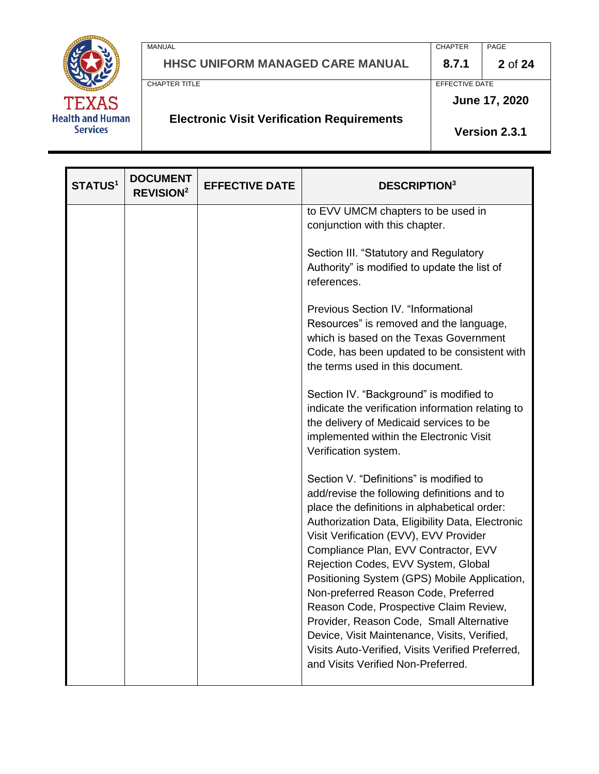

| MANUAL                                  | <b>CHAPTER</b> | PAGE           |
|-----------------------------------------|----------------|----------------|
| <b>HHSC UNIFORM MANAGED CARE MANUAL</b> | 8.7.1          | <b>2</b> of 24 |
| CHAPTER TITLE                           | EFFECTIVE DATE |                |
|                                         |                | June 17, 2020  |

# **Electronic Visit Verification Requirements**

**Version 2.3.1**

| <b>STATUS1</b> | <b>DOCUMENT</b><br><b>REVISION<sup>2</sup></b> | <b>EFFECTIVE DATE</b> | <b>DESCRIPTION3</b>                                                                                                                                                                                                                                                                                                                                                                                                                                                                                                                                                                                                                         |
|----------------|------------------------------------------------|-----------------------|---------------------------------------------------------------------------------------------------------------------------------------------------------------------------------------------------------------------------------------------------------------------------------------------------------------------------------------------------------------------------------------------------------------------------------------------------------------------------------------------------------------------------------------------------------------------------------------------------------------------------------------------|
|                |                                                |                       | to EVV UMCM chapters to be used in<br>conjunction with this chapter.                                                                                                                                                                                                                                                                                                                                                                                                                                                                                                                                                                        |
|                |                                                |                       | Section III. "Statutory and Regulatory<br>Authority" is modified to update the list of<br>references.                                                                                                                                                                                                                                                                                                                                                                                                                                                                                                                                       |
|                |                                                |                       | <b>Previous Section IV. "Informational</b><br>Resources" is removed and the language,<br>which is based on the Texas Government<br>Code, has been updated to be consistent with<br>the terms used in this document.                                                                                                                                                                                                                                                                                                                                                                                                                         |
|                |                                                |                       | Section IV. "Background" is modified to<br>indicate the verification information relating to<br>the delivery of Medicaid services to be<br>implemented within the Electronic Visit<br>Verification system.                                                                                                                                                                                                                                                                                                                                                                                                                                  |
|                |                                                |                       | Section V. "Definitions" is modified to<br>add/revise the following definitions and to<br>place the definitions in alphabetical order:<br>Authorization Data, Eligibility Data, Electronic<br>Visit Verification (EVV), EVV Provider<br>Compliance Plan, EVV Contractor, EVV<br>Rejection Codes, EVV System, Global<br>Positioning System (GPS) Mobile Application,<br>Non-preferred Reason Code, Preferred<br>Reason Code, Prospective Claim Review,<br>Provider, Reason Code, Small Alternative<br>Device, Visit Maintenance, Visits, Verified,<br>Visits Auto-Verified, Visits Verified Preferred,<br>and Visits Verified Non-Preferred. |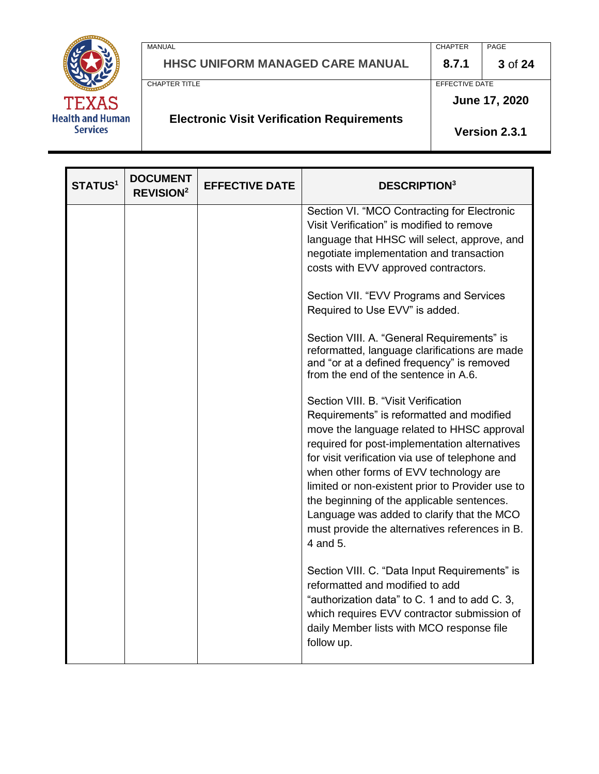

**HHSC UNIFORM MANAGED CARE MANUAL 8.7.1 3** of **24**

**Electronic Visit Verification Requirements**

MANUAL PAGE PROPER PROPERTY AND A SERVICE SERVICE SERVICE SERVICE SERVICE SERVICE SERVICE SERVICE SERVICE SERVICE SERVICE SERVICE SERVICE SERVICE SERVICE SERVICE SERVICE SERVICE SERVICE SERVICE SERVICE SERVICE SERVICE SERV

CHAPTER TITLE **EXECUTE A REPORT OF A SET OF A REPORT OF A REPORT OF A REPORT OF A REPORT OF A REPORT OF A REPORT OF A REPORT OF A REPORT OF A REPORT OF A REPORT OF A REPORT OF A REPORT OF A REPORT OF A REPORT OF A REPORT O** 

**June 17, 2020**

**Version 2.3.1**

**STATUS<sup>1</sup> DOCUMENT REVISION<sup>2</sup> EFFECTIVE DATE DESCRIPTION<sup>3</sup>** Section VI. "MCO Contracting for Electronic Visit Verification" is modified to remove language that HHSC will select, approve, and negotiate implementation and transaction costs with EVV approved contractors. Section VII. "EVV Programs and Services Required to Use EVV" is added. Section VIII. A. "General Requirements" is reformatted, language clarifications are made and "or at a defined frequency" is removed from the end of the sentence in A.6. Section VIII. B. "Visit Verification Requirements" is reformatted and modified move the language related to HHSC approval required for post-implementation alternatives for visit verification via use of telephone and when other forms of EVV technology are limited or non-existent prior to Provider use to the beginning of the applicable sentences. Language was added to clarify that the MCO must provide the alternatives references in B. 4 and 5. Section VIII. C. "Data Input Requirements" is reformatted and modified to add "authorization data" to C. 1 and to add C. 3, which requires EVV contractor submission of daily Member lists with MCO response file follow up.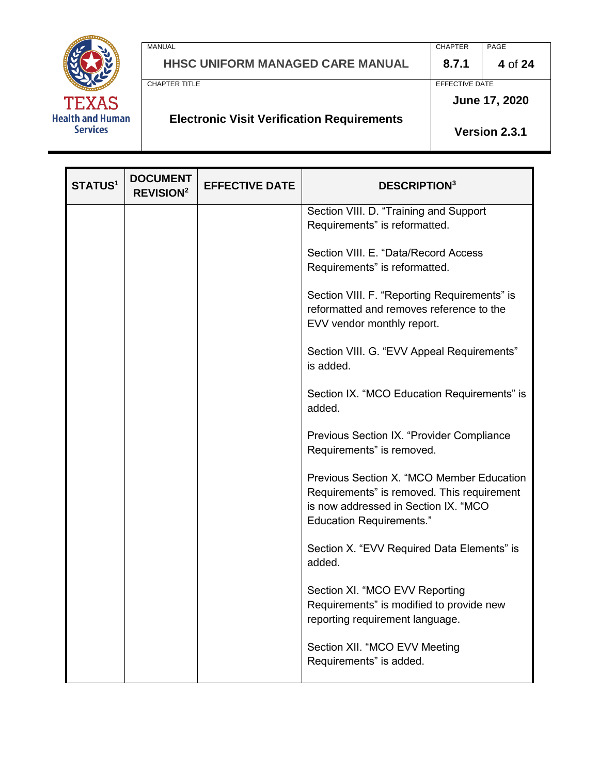

| <b>MANUAL</b>                              | <b>CHAPTER</b> | PAGE    |
|--------------------------------------------|----------------|---------|
| <b>HHSC UNIFORM MANAGED CARE MANUAL</b>    | 8.7.1          | 4 of 24 |
| CHAPTER TITLE                              | EFFECTIVE DATE |         |
|                                            | June 17, 2020  |         |
| Electronic Visit Visitionism Benningeneral |                |         |

# **Electronic Visit Verification Requirements**

**Version 2.3.1**

| <b>STATUS1</b> | <b>DOCUMENT</b><br><b>REVISION<sup>2</sup></b> | <b>EFFECTIVE DATE</b> | <b>DESCRIPTION3</b>                                                                                                                                                |
|----------------|------------------------------------------------|-----------------------|--------------------------------------------------------------------------------------------------------------------------------------------------------------------|
|                |                                                |                       | Section VIII. D. "Training and Support<br>Requirements" is reformatted.                                                                                            |
|                |                                                |                       | Section VIII. E. "Data/Record Access<br>Requirements" is reformatted.                                                                                              |
|                |                                                |                       | Section VIII. F. "Reporting Requirements" is<br>reformatted and removes reference to the<br>EVV vendor monthly report.                                             |
|                |                                                |                       | Section VIII. G. "EVV Appeal Requirements"<br>is added.                                                                                                            |
|                |                                                |                       | Section IX. "MCO Education Requirements" is<br>added.                                                                                                              |
|                |                                                |                       | Previous Section IX. "Provider Compliance<br>Requirements" is removed.                                                                                             |
|                |                                                |                       | Previous Section X. "MCO Member Education<br>Requirements" is removed. This requirement<br>is now addressed in Section IX. "MCO<br><b>Education Requirements."</b> |
|                |                                                |                       | Section X. "EVV Required Data Elements" is<br>added.                                                                                                               |
|                |                                                |                       | Section XI. "MCO EVV Reporting<br>Requirements" is modified to provide new<br>reporting requirement language.                                                      |
|                |                                                |                       | Section XII. "MCO EVV Meeting<br>Requirements" is added.                                                                                                           |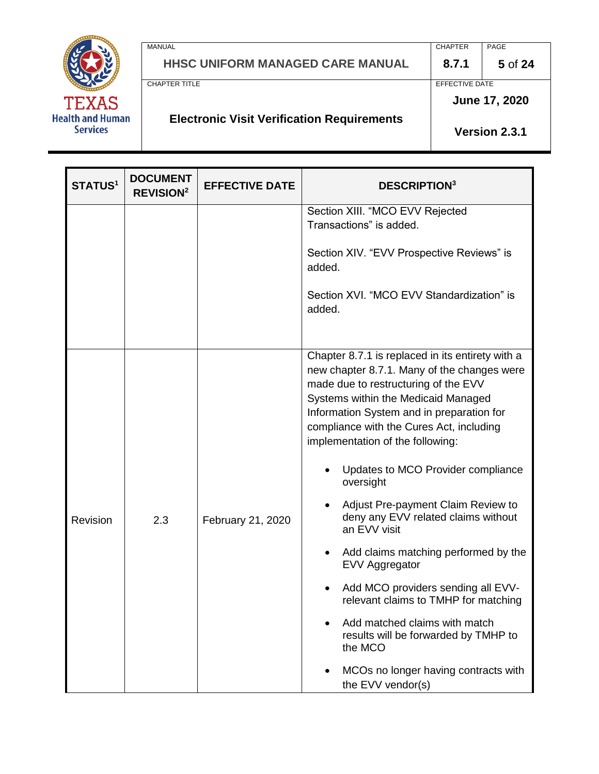

| MANUAL                                            | <b>CHAPTER</b> | PAGE          |
|---------------------------------------------------|----------------|---------------|
| HHSC UNIFORM MANAGED CARE MANUAL                  | 8.7.1          | 5 of 24       |
| CHAPTER TITLE                                     | EFFECTIVE DATE |               |
|                                                   |                | June 17, 2020 |
| <b>Electronic Visit Verification Requirements</b> |                | Version 2.3.1 |

| <b>STATUS1</b> | <b>DOCUMENT</b><br><b>REVISION<sup>2</sup></b> | <b>EFFECTIVE DATE</b> | <b>DESCRIPTION3</b>                                                                                                                                                                                                                                                                                                                                                                                                                                                                                                   |
|----------------|------------------------------------------------|-----------------------|-----------------------------------------------------------------------------------------------------------------------------------------------------------------------------------------------------------------------------------------------------------------------------------------------------------------------------------------------------------------------------------------------------------------------------------------------------------------------------------------------------------------------|
|                |                                                |                       | Section XIII. "MCO EVV Rejected<br>Transactions" is added.<br>Section XIV. "EVV Prospective Reviews" is<br>added.                                                                                                                                                                                                                                                                                                                                                                                                     |
|                |                                                |                       | Section XVI. "MCO EVV Standardization" is<br>added.                                                                                                                                                                                                                                                                                                                                                                                                                                                                   |
| Revision       | 2.3                                            | February 21, 2020     | Chapter 8.7.1 is replaced in its entirety with a<br>new chapter 8.7.1. Many of the changes were<br>made due to restructuring of the EVV<br>Systems within the Medicaid Managed<br>Information System and in preparation for<br>compliance with the Cures Act, including<br>implementation of the following:<br>Updates to MCO Provider compliance<br>oversight<br>Adjust Pre-payment Claim Review to<br>deny any EVV related claims without<br>an EVV visit<br>Add claims matching performed by the<br>EVV Aggregator |
|                |                                                |                       | Add MCO providers sending all EVV-<br>relevant claims to TMHP for matching<br>Add matched claims with match<br>results will be forwarded by TMHP to<br>the MCO                                                                                                                                                                                                                                                                                                                                                        |
|                |                                                |                       | MCOs no longer having contracts with<br>the EVV vendor(s)                                                                                                                                                                                                                                                                                                                                                                                                                                                             |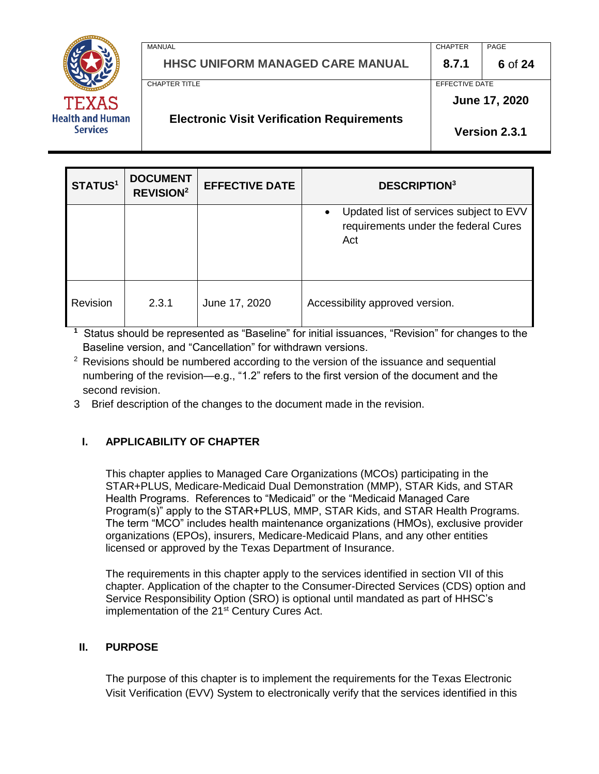

MANUAL PAGE PROPER PROPERTY AND A SERVICE SERVICE SERVICE SERVICE SERVICE SERVICE SERVICE SERVICE SERVICE SERVICE SERVICE SERVICE SERVICE SERVICE SERVICE SERVICE SERVICE SERVICE SERVICE SERVICE SERVICE SERVICE SERVICE SERV **HHSC UNIFORM MANAGED CARE MANUAL 8.7.1 6** of **24** CHAPTER TITLE **EFFECTIVE DATE Electronic Visit Verification Requirements June 17, 2020**

**Version 2.3.1**

| <b>STATUS1</b> | <b>DOCUMENT</b><br><b>REVISION<sup>2</sup></b> | <b>EFFECTIVE DATE</b> | <b>DESCRIPTION3</b>                                                                    |
|----------------|------------------------------------------------|-----------------------|----------------------------------------------------------------------------------------|
|                |                                                |                       | Updated list of services subject to EVV<br>requirements under the federal Cures<br>Act |
| Revision       | 2.3.1                                          | June 17, 2020         | Accessibility approved version.                                                        |

**1** Status should be represented as "Baseline" for initial issuances, "Revision" for changes to the Baseline version, and "Cancellation" for withdrawn versions.

<sup>2</sup> Revisions should be numbered according to the version of the issuance and sequential numbering of the revision—e.g., "1.2" refers to the first version of the document and the second revision.

3 Brief description of the changes to the document made in the revision.

# **I. APPLICABILITY OF CHAPTER**

This chapter applies to Managed Care Organizations (MCOs) participating in the STAR+PLUS, Medicare-Medicaid Dual Demonstration (MMP), STAR Kids, and STAR Health Programs. References to "Medicaid" or the "Medicaid Managed Care Program(s)" apply to the STAR+PLUS, MMP, STAR Kids, and STAR Health Programs. The term "MCO" includes health maintenance organizations (HMOs), exclusive provider organizations (EPOs), insurers, Medicare-Medicaid Plans, and any other entities licensed or approved by the Texas Department of Insurance.

The requirements in this chapter apply to the services identified in section VII of this chapter. Application of the chapter to the Consumer-Directed Services (CDS) option and Service Responsibility Option (SRO) is optional until mandated as part of HHSC's implementation of the 21<sup>st</sup> Century Cures Act.

#### **II. PURPOSE**

The purpose of this chapter is to implement the requirements for the Texas Electronic Visit Verification (EVV) System to electronically verify that the services identified in this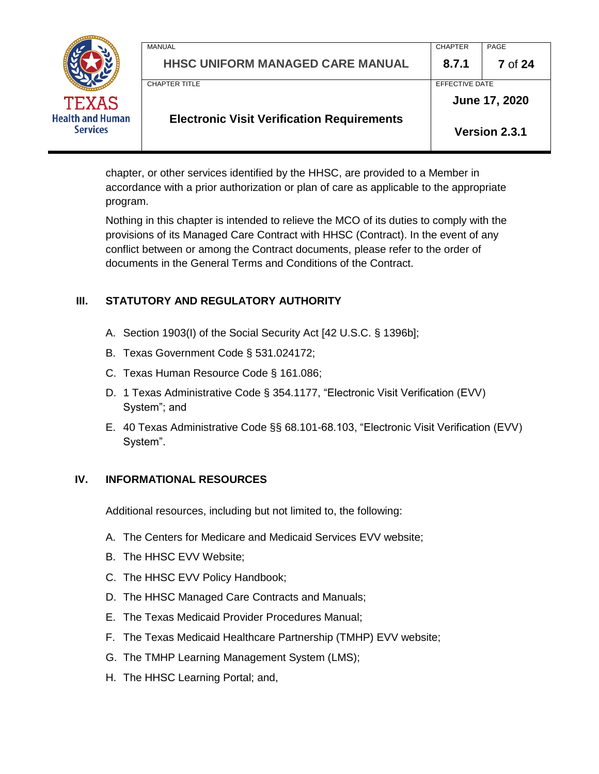|                                            | MANUAL<br><b>HHSC UNIFORM MANAGED CARE MANUAL</b> | <b>CHAPTER</b><br>8.7.1 | PAGE<br><b>7</b> of 24 |
|--------------------------------------------|---------------------------------------------------|-------------------------|------------------------|
|                                            | <b>CHAPTER TITLE</b>                              | EFFECTIVE DATE          |                        |
| <b>TEXAS</b>                               |                                                   |                         | June 17, 2020          |
| <b>Health and Human</b><br><b>Services</b> | <b>Electronic Visit Verification Requirements</b> |                         | Version 2.3.1          |

chapter, or other services identified by the HHSC, are provided to a Member in accordance with a prior authorization or plan of care as applicable to the appropriate program.

Nothing in this chapter is intended to relieve the MCO of its duties to comply with the provisions of its Managed Care Contract with HHSC (Contract). In the event of any conflict between or among the Contract documents, please refer to the order of documents in the General Terms and Conditions of the Contract.

### **III. STATUTORY AND REGULATORY AUTHORITY**

- A. Section 1903(I) of the Social Security Act [42 U.S.C. § 1396b];
- B. Texas Government Code § 531.024172;
- C. Texas Human Resource Code § 161.086;
- D. 1 Texas Administrative Code § 354.1177, "Electronic Visit Verification (EVV) System"; and
- E. 40 Texas Administrative Code §§ 68.101-68.103, "Electronic Visit Verification (EVV) System".

#### **IV. INFORMATIONAL RESOURCES**

Additional resources, including but not limited to, the following:

- A. The Centers for Medicare and Medicaid Services EVV website;
- B. The HHSC EVV Website;
- C. The HHSC EVV Policy Handbook;
- D. The HHSC Managed Care Contracts and Manuals;
- E. The Texas Medicaid Provider Procedures Manual;
- F. The Texas Medicaid Healthcare Partnership (TMHP) EVV website;
- G. The TMHP Learning Management System (LMS);
- H. The HHSC Learning Portal; and,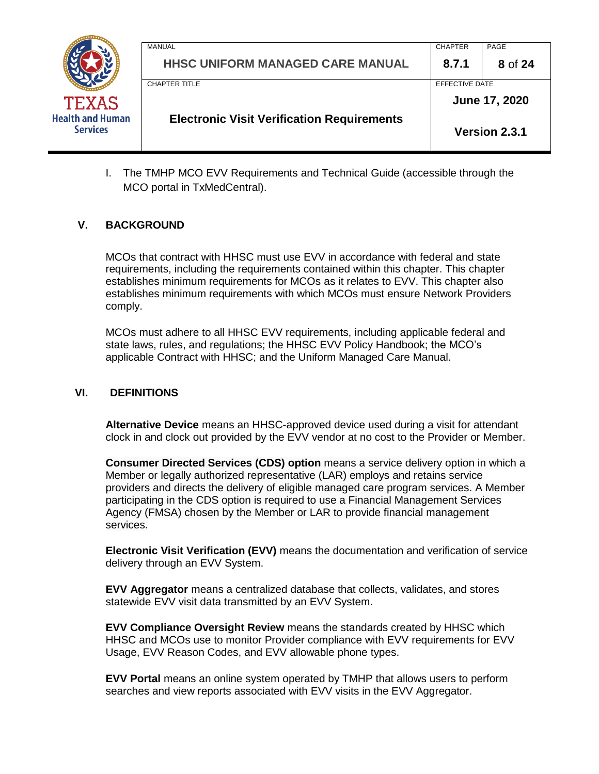

| <b>Electronic Visit Verification Requirements</b> |                | Version 2.3.1 |
|---------------------------------------------------|----------------|---------------|
| CHAPTER TITI F                                    | EFFECTIVE DATE | June 17, 2020 |
| <b>HHSC UNIFORM MANAGED CARE MANUAL</b>           | 8.7.1          | 8 of 24       |
| MANUAL                                            | <b>CHAPTER</b> | PAGE          |

I. The TMHP MCO EVV Requirements and Technical Guide (accessible through the MCO portal in TxMedCentral).

#### **V. BACKGROUND**

MCOs that contract with HHSC must use EVV in accordance with federal and state requirements, including the requirements contained within this chapter. This chapter establishes minimum requirements for MCOs as it relates to EVV. This chapter also establishes minimum requirements with which MCOs must ensure Network Providers comply.

MCOs must adhere to all HHSC EVV requirements, including applicable federal and state laws, rules, and regulations; the HHSC EVV Policy Handbook; the MCO's applicable Contract with HHSC; and the Uniform Managed Care Manual.

#### **VI. DEFINITIONS**

**Alternative Device** means an HHSC-approved device used during a visit for attendant clock in and clock out provided by the EVV vendor at no cost to the Provider or Member.

**Consumer Directed Services (CDS) option** means a service delivery option in which a Member or legally authorized representative (LAR) employs and retains service providers and directs the delivery of eligible managed care program services. A Member participating in the CDS option is required to use a Financial Management Services Agency (FMSA) chosen by the Member or LAR to provide financial management services.

**Electronic Visit Verification (EVV)** means the documentation and verification of service delivery through an EVV System.

**EVV Aggregator** means a centralized database that collects, validates, and stores statewide EVV visit data transmitted by an EVV System.

**EVV Compliance Oversight Review** means the standards created by HHSC which HHSC and MCOs use to monitor Provider compliance with EVV requirements for EVV Usage, EVV Reason Codes, and EVV allowable phone types.

**EVV Portal** means an online system operated by TMHP that allows users to perform searches and view reports associated with EVV visits in the EVV Aggregator.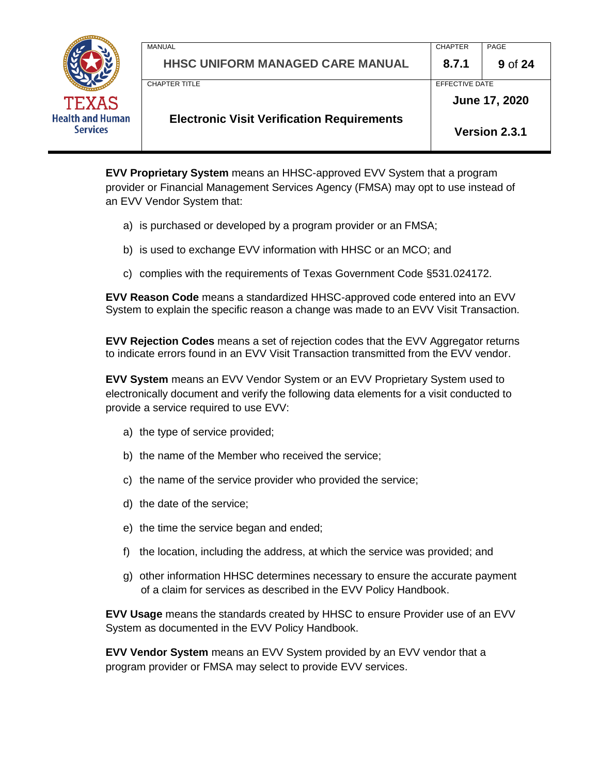

**EVV Proprietary System** means an HHSC-approved EVV System that a program provider or Financial Management Services Agency (FMSA) may opt to use instead of an EVV Vendor System that:

- a) is purchased or developed by a program provider or an FMSA;
- b) is used to exchange EVV information with HHSC or an MCO; and
- c) complies with the requirements of Texas Government Code §531.024172.

**EVV Reason Code** means a standardized HHSC-approved code entered into an EVV System to explain the specific reason a change was made to an EVV Visit Transaction.

**EVV Rejection Codes** means a set of rejection codes that the EVV Aggregator returns to indicate errors found in an EVV Visit Transaction transmitted from the EVV vendor.

**EVV System** means an EVV Vendor System or an EVV Proprietary System used to electronically document and verify the following data elements for a visit conducted to provide a service required to use EVV:

- a) the type of service provided;
- b) the name of the Member who received the service;
- c) the name of the service provider who provided the service;
- d) the date of the service;
- e) the time the service began and ended;
- f) the location, including the address, at which the service was provided; and
- g) other information HHSC determines necessary to ensure the accurate payment of a claim for services as described in the EVV Policy Handbook.

**EVV Usage** means the standards created by HHSC to ensure Provider use of an EVV System as documented in the EVV Policy Handbook.

**EVV Vendor System** means an EVV System provided by an EVV vendor that a program provider or FMSA may select to provide EVV services.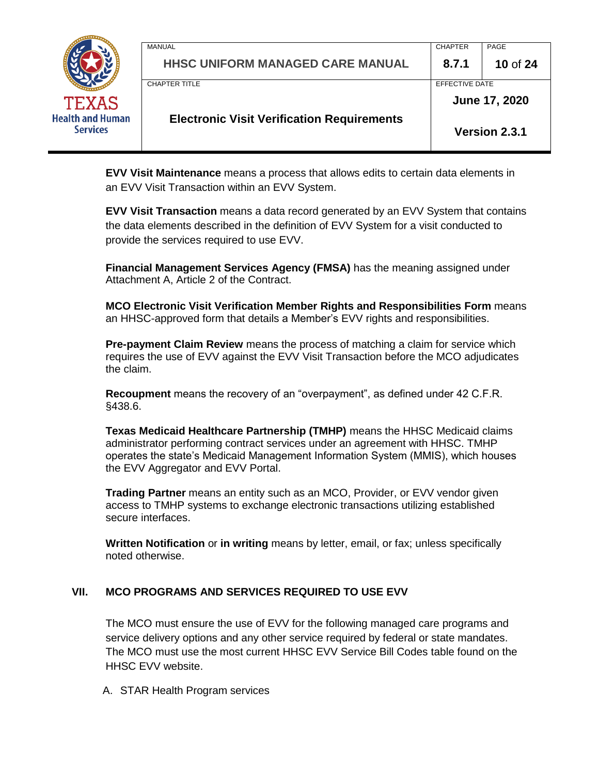

| <b>Electronic Visit Verification Requirements</b> |                | <b>Version 2.3.1</b> |
|---------------------------------------------------|----------------|----------------------|
|                                                   |                | June 17, 2020        |
| CHAPTER TITLE                                     | EFFECTIVE DATE |                      |
| <b>HHSC UNIFORM MANAGED CARE MANUAL</b>           | 8.7.1          | 10 of 24             |
| <b>MANUAL</b>                                     | <b>CHAPTER</b> | PAGE                 |
|                                                   |                |                      |

**EVV Visit Maintenance** means a process that allows edits to certain data elements in an EVV Visit Transaction within an EVV System.

**EVV Visit Transaction** means a data record generated by an EVV System that contains the data elements described in the definition of EVV System for a visit conducted to provide the services required to use EVV.

**Financial Management Services Agency (FMSA)** has the meaning assigned under Attachment A, Article 2 of the Contract.

**MCO Electronic Visit Verification Member Rights and Responsibilities Form** means an HHSC-approved form that details a Member's EVV rights and responsibilities.

**Pre-payment Claim Review** means the process of matching a claim for service which requires the use of EVV against the EVV Visit Transaction before the MCO adjudicates the claim.

**Recoupment** means the recovery of an "overpayment", as defined under 42 C.F.R. §438.6.

**Texas Medicaid Healthcare Partnership (TMHP)** means the HHSC Medicaid claims administrator performing contract services under an agreement with HHSC. TMHP operates the state's Medicaid Management Information System (MMIS), which houses the EVV Aggregator and EVV Portal.

**Trading Partner** means an entity such as an MCO, Provider, or EVV vendor given access to TMHP systems to exchange electronic transactions utilizing established secure interfaces.

**Written Notification** or **in writing** means by letter, email, or fax; unless specifically noted otherwise.

#### **VII. MCO PROGRAMS AND SERVICES REQUIRED TO USE EVV**

The MCO must ensure the use of EVV for the following managed care programs and service delivery options and any other service required by federal or state mandates. The MCO must use the most current HHSC EVV Service Bill Codes table found on the HHSC EVV website.

A. STAR Health Program services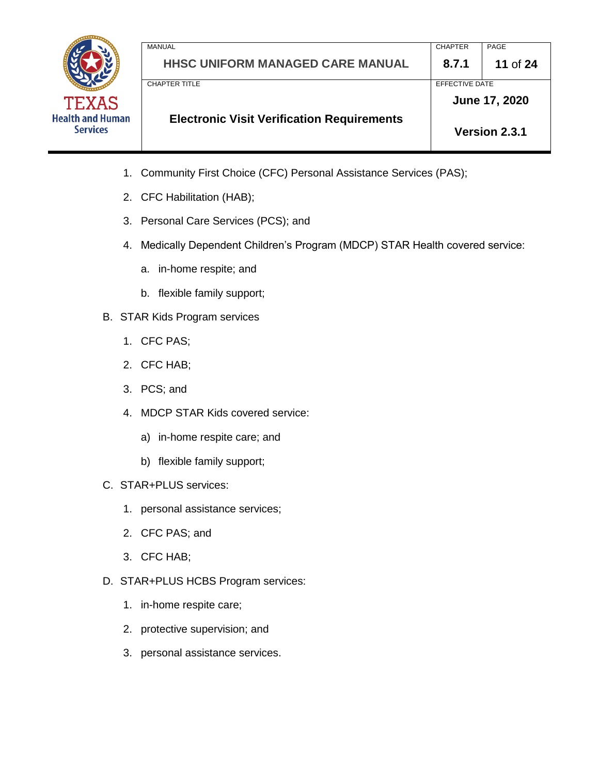

MANUAL PAGE PROPER PROPERTY AND A SERVICE SERVICE SERVICE SERVICE SERVICE SERVICE SERVICE SERVICE SERVICE SERVICE SERVICE SERVICE SERVICE SERVICE SERVICE SERVICE SERVICE SERVICE SERVICE SERVICE SERVICE SERVICE SERVICE SERV **HHSC UNIFORM MANAGED CARE MANUAL 8.7.1 11** of **24** CHAPTER TITLE **EFFECTIVE DATE Electronic Visit Verification Requirements June 17, 2020 Version 2.3.1**

- 1. Community First Choice (CFC) Personal Assistance Services (PAS);
- 2. CFC Habilitation (HAB);
- 3. Personal Care Services (PCS); and
- 4. Medically Dependent Children's Program (MDCP) STAR Health covered service:
	- a. in-home respite; and
	- b. flexible family support;
- B. STAR Kids Program services
	- 1. CFC PAS;
	- 2. CFC HAB;
	- 3. PCS; and
	- 4. MDCP STAR Kids covered service:
		- a) in-home respite care; and
		- b) flexible family support;
- C. STAR+PLUS services:
	- 1. personal assistance services;
	- 2. CFC PAS; and
	- 3. CFC HAB;
- D. STAR+PLUS HCBS Program services:
	- 1. in-home respite care;
	- 2. protective supervision; and
	- 3. personal assistance services.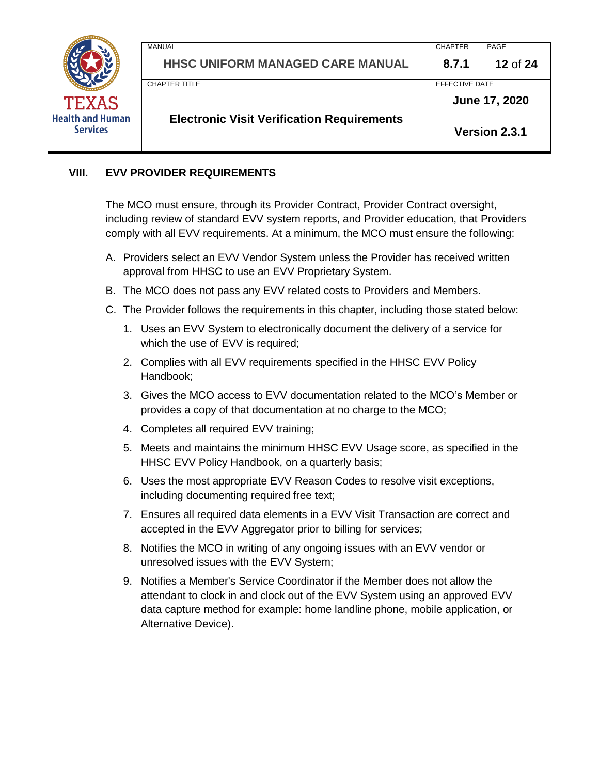

|                                         |                | June 17, 2020   |
|-----------------------------------------|----------------|-----------------|
|                                         |                |                 |
| CHAPTER TITLE                           | EFFECTIVE DATE |                 |
| <b>HHSC UNIFORM MANAGED CARE MANUAL</b> | 8.7.1          | <b>12 of 24</b> |
| <b>MANUAL</b>                           | <b>CHAPTER</b> | PAGE            |

#### **VIII. EVV PROVIDER REQUIREMENTS**

The MCO must ensure, through its Provider Contract, Provider Contract oversight, including review of standard EVV system reports, and Provider education, that Providers comply with all EVV requirements. At a minimum, the MCO must ensure the following:

- A. Providers select an EVV Vendor System unless the Provider has received written approval from HHSC to use an EVV Proprietary System.
- B. The MCO does not pass any EVV related costs to Providers and Members.
- C. The Provider follows the requirements in this chapter, including those stated below:
	- 1. Uses an EVV System to electronically document the delivery of a service for which the use of EVV is required;
	- 2. Complies with all EVV requirements specified in the HHSC EVV Policy Handbook;
	- 3. Gives the MCO access to EVV documentation related to the MCO's Member or provides a copy of that documentation at no charge to the MCO;
	- 4. Completes all required EVV training;
	- 5. Meets and maintains the minimum HHSC EVV Usage score, as specified in the HHSC EVV Policy Handbook, on a quarterly basis;
	- 6. Uses the most appropriate EVV Reason Codes to resolve visit exceptions, including documenting required free text;
	- 7. Ensures all required data elements in a EVV Visit Transaction are correct and accepted in the EVV Aggregator prior to billing for services;
	- 8. Notifies the MCO in writing of any ongoing issues with an EVV vendor or unresolved issues with the EVV System;
	- 9. Notifies a Member's Service Coordinator if the Member does not allow the attendant to clock in and clock out of the EVV System using an approved EVV data capture method for example: home landline phone, mobile application, or Alternative Device).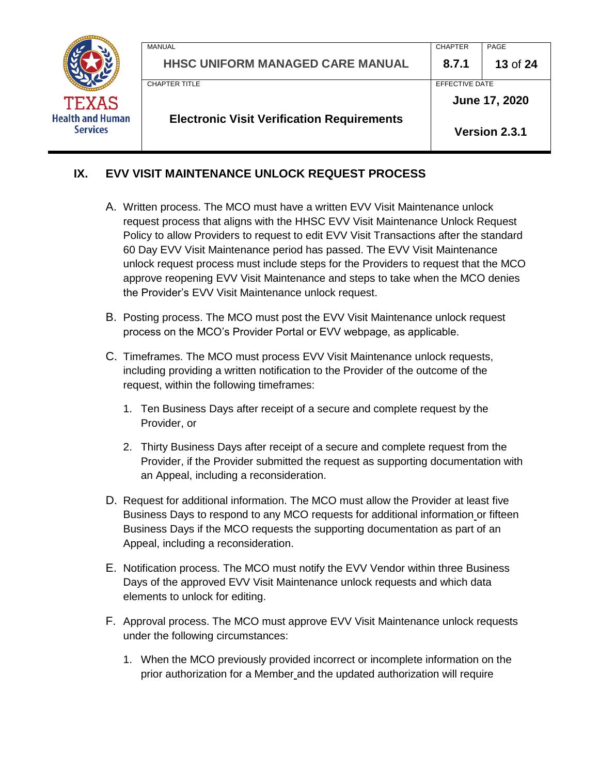

|                                         | EFFECTIVE DATE | June 17, 2020 |
|-----------------------------------------|----------------|---------------|
|                                         |                |               |
|                                         |                |               |
| <b>HHSC UNIFORM MANAGED CARE MANUAL</b> | 8.7.1          | 13 of 24      |
|                                         | <b>CHAPTER</b> | PAGE          |
|                                         |                |               |

# **IX. EVV VISIT MAINTENANCE UNLOCK REQUEST PROCESS**

- A. Written process. The MCO must have a written EVV Visit Maintenance unlock request process that aligns with the HHSC EVV Visit Maintenance Unlock Request Policy to allow Providers to request to edit EVV Visit Transactions after the standard 60 Day EVV Visit Maintenance period has passed. The EVV Visit Maintenance unlock request process must include steps for the Providers to request that the MCO approve reopening EVV Visit Maintenance and steps to take when the MCO denies the Provider's EVV Visit Maintenance unlock request.
- B. Posting process. The MCO must post the EVV Visit Maintenance unlock request process on the MCO's Provider Portal or EVV webpage, as applicable.
- C. Timeframes. The MCO must process EVV Visit Maintenance unlock requests, including providing a written notification to the Provider of the outcome of the request, within the following timeframes:
	- 1. Ten Business Days after receipt of a secure and complete request by the Provider, or
	- 2. Thirty Business Days after receipt of a secure and complete request from the Provider, if the Provider submitted the request as supporting documentation with an Appeal, including a reconsideration.
- D. Request for additional information. The MCO must allow the Provider at least five Business Days to respond to any MCO requests for additional information or fifteen Business Days if the MCO requests the supporting documentation as part of an Appeal, including a reconsideration.
- E. Notification process. The MCO must notify the EVV Vendor within three Business Days of the approved EVV Visit Maintenance unlock requests and which data elements to unlock for editing.
- F. Approval process. The MCO must approve EVV Visit Maintenance unlock requests under the following circumstances:
	- 1. When the MCO previously provided incorrect or incomplete information on the prior authorization for a Member and the updated authorization will require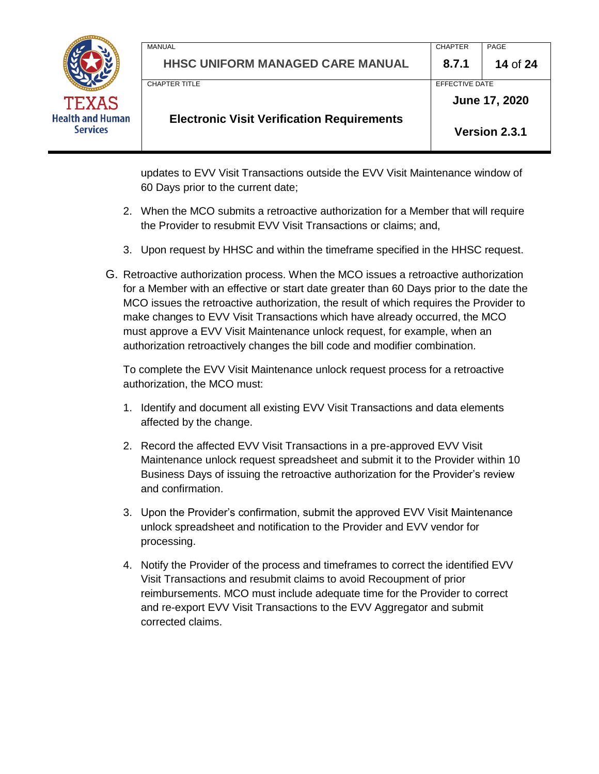

MANUAL PAGE PROPER PROPERTY AND A SERVICE SERVICE SERVICE SERVICE SERVICE SERVICE SERVICE SERVICE SERVICE SERVICE SERVICE SERVICE SERVICE SERVICE SERVICE SERVICE SERVICE SERVICE SERVICE SERVICE SERVICE SERVICE SERVICE SERV **HHSC UNIFORM MANAGED CARE MANUAL 8.7.1 14** of **24** CHAPTER TITLE **EFFECTIVE DATE Electronic Visit Verification Requirements June 17, 2020 Version 2.3.1**

updates to EVV Visit Transactions outside the EVV Visit Maintenance window of 60 Days prior to the current date;

- 2. When the MCO submits a retroactive authorization for a Member that will require the Provider to resubmit EVV Visit Transactions or claims; and,
- 3. Upon request by HHSC and within the timeframe specified in the HHSC request.
- G. Retroactive authorization process. When the MCO issues a retroactive authorization for a Member with an effective or start date greater than 60 Days prior to the date the MCO issues the retroactive authorization, the result of which requires the Provider to make changes to EVV Visit Transactions which have already occurred, the MCO must approve a EVV Visit Maintenance unlock request, for example, when an authorization retroactively changes the bill code and modifier combination.

To complete the EVV Visit Maintenance unlock request process for a retroactive authorization, the MCO must:

- 1. Identify and document all existing EVV Visit Transactions and data elements affected by the change.
- 2. Record the affected EVV Visit Transactions in a pre-approved EVV Visit Maintenance unlock request spreadsheet and submit it to the Provider within 10 Business Days of issuing the retroactive authorization for the Provider's review and confirmation.
- 3. Upon the Provider's confirmation, submit the approved EVV Visit Maintenance unlock spreadsheet and notification to the Provider and EVV vendor for processing.
- 4. Notify the Provider of the process and timeframes to correct the identified EVV Visit Transactions and resubmit claims to avoid Recoupment of prior reimbursements. MCO must include adequate time for the Provider to correct and re-export EVV Visit Transactions to the EVV Aggregator and submit corrected claims.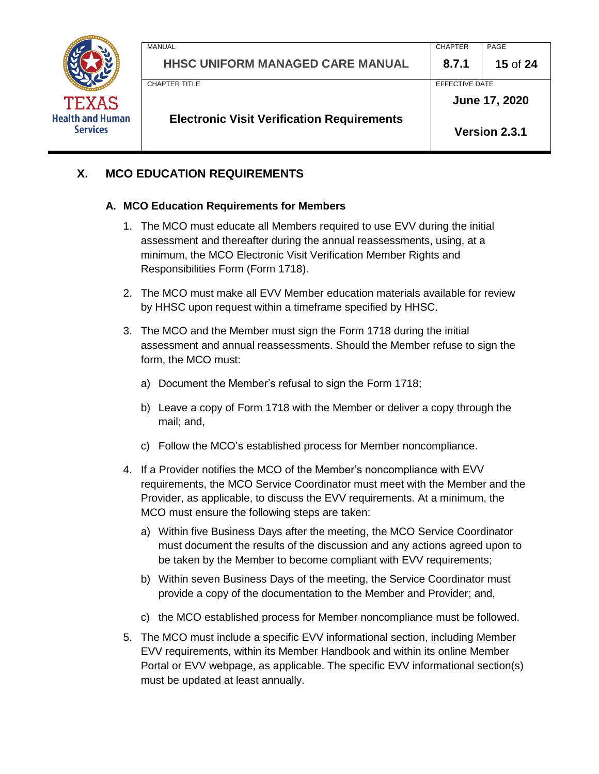

| CHAPTER TITLE |                                         | EFFECTIVE DATE | June 17, 2020 |
|---------------|-----------------------------------------|----------------|---------------|
|               |                                         |                |               |
|               |                                         |                |               |
|               | <b>HHSC UNIFORM MANAGED CARE MANUAL</b> | 8.7.1          | 15 of 24      |
| MANUAL        |                                         | <b>CHAPTER</b> | PAGE          |

# **X. MCO EDUCATION REQUIREMENTS**

#### **A. MCO Education Requirements for Members**

- 1. The MCO must educate all Members required to use EVV during the initial assessment and thereafter during the annual reassessments, using, at a minimum, the MCO Electronic Visit Verification Member Rights and Responsibilities Form (Form 1718).
- 2. The MCO must make all EVV Member education materials available for review by HHSC upon request within a timeframe specified by HHSC.
- 3. The MCO and the Member must sign the Form 1718 during the initial assessment and annual reassessments. Should the Member refuse to sign the form, the MCO must:
	- a) Document the Member's refusal to sign the Form 1718;
	- b) Leave a copy of Form 1718 with the Member or deliver a copy through the mail; and,
	- c) Follow the MCO's established process for Member noncompliance.
- 4. If a Provider notifies the MCO of the Member's noncompliance with EVV requirements, the MCO Service Coordinator must meet with the Member and the Provider, as applicable, to discuss the EVV requirements. At a minimum, the MCO must ensure the following steps are taken:
	- a) Within five Business Days after the meeting, the MCO Service Coordinator must document the results of the discussion and any actions agreed upon to be taken by the Member to become compliant with EVV requirements;
	- b) Within seven Business Days of the meeting, the Service Coordinator must provide a copy of the documentation to the Member and Provider; and,
	- c) the MCO established process for Member noncompliance must be followed.
- 5. The MCO must include a specific EVV informational section, including Member EVV requirements, within its Member Handbook and within its online Member Portal or EVV webpage, as applicable. The specific EVV informational section(s) must be updated at least annually.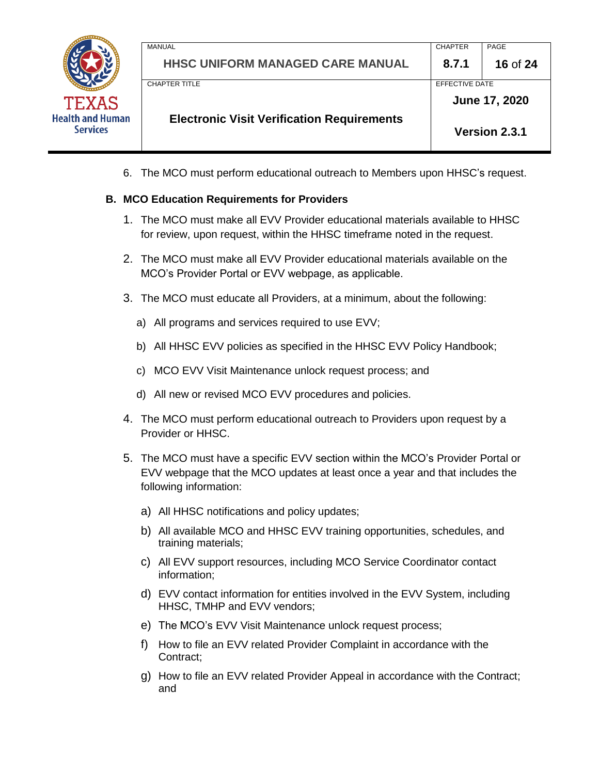

MANUAL PAGE PROPER PROPERTY AND A SERVICE SERVICE SERVICE SERVICE SERVICE SERVICE SERVICE SERVICE SERVICE SERVICE SERVICE SERVICE SERVICE SERVICE SERVICE SERVICE SERVICE SERVICE SERVICE SERVICE SERVICE SERVICE SERVICE SERV **HHSC UNIFORM MANAGED CARE MANUAL 8.7.1 16** of **24** CHAPTER TITLE **EXECUTE EFFECTIVE DATE Electronic Visit Verification Requirements June 17, 2020 Version 2.3.1**

6. The MCO must perform educational outreach to Members upon HHSC's request.

#### **B. MCO Education Requirements for Providers**

- 1. The MCO must make all EVV Provider educational materials available to HHSC for review, upon request, within the HHSC timeframe noted in the request.
- 2. The MCO must make all EVV Provider educational materials available on the MCO's Provider Portal or EVV webpage, as applicable.
- 3. The MCO must educate all Providers, at a minimum, about the following:
	- a) All programs and services required to use EVV;
	- b) All HHSC EVV policies as specified in the HHSC EVV Policy Handbook;
	- c) MCO EVV Visit Maintenance unlock request process; and
	- d) All new or revised MCO EVV procedures and policies.
- 4. The MCO must perform educational outreach to Providers upon request by a Provider or HHSC.
- 5. The MCO must have a specific EVV section within the MCO's Provider Portal or EVV webpage that the MCO updates at least once a year and that includes the following information:
	- a) All HHSC notifications and policy updates;
	- b) All available MCO and HHSC EVV training opportunities, schedules, and training materials;
	- c) All EVV support resources, including MCO Service Coordinator contact information;
	- d) EVV contact information for entities involved in the EVV System, including HHSC, TMHP and EVV vendors;
	- e) The MCO's EVV Visit Maintenance unlock request process;
	- f) How to file an EVV related Provider Complaint in accordance with the Contract;
	- g) How to file an EVV related Provider Appeal in accordance with the Contract; and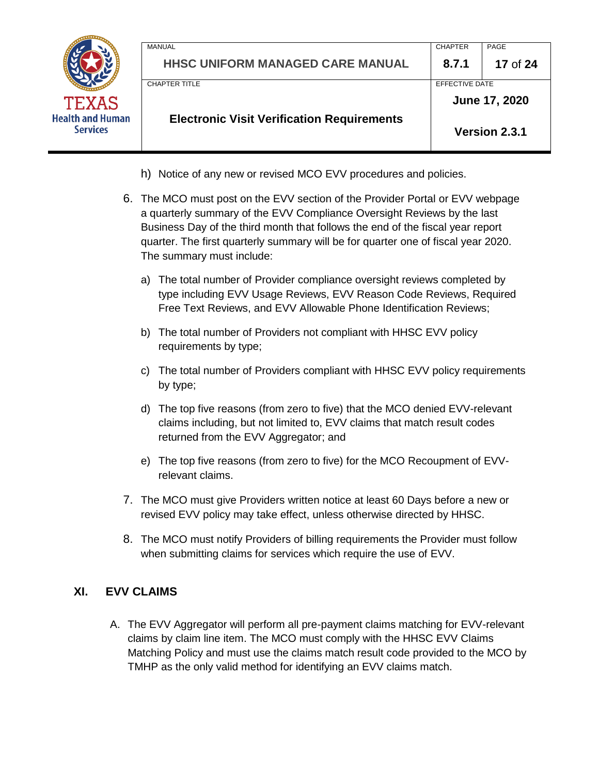|                                            | MANUAL                                            | <b>CHAPTER</b>        | PAGE          |
|--------------------------------------------|---------------------------------------------------|-----------------------|---------------|
|                                            | <b>HHSC UNIFORM MANAGED CARE MANUAL</b>           | 8.7.1                 | 17 of 24      |
|                                            | <b>CHAPTER TITLE</b>                              | <b>EFFECTIVE DATE</b> |               |
| <b>TEXAS</b>                               |                                                   |                       | June 17, 2020 |
| <b>Health and Human</b><br><b>Services</b> | <b>Electronic Visit Verification Requirements</b> |                       | Version 2.3.1 |
|                                            |                                                   |                       |               |

- h) Notice of any new or revised MCO EVV procedures and policies.
- 6. The MCO must post on the EVV section of the Provider Portal or EVV webpage a quarterly summary of the EVV Compliance Oversight Reviews by the last Business Day of the third month that follows the end of the fiscal year report quarter. The first quarterly summary will be for quarter one of fiscal year 2020. The summary must include:
	- a) The total number of Provider compliance oversight reviews completed by type including EVV Usage Reviews, EVV Reason Code Reviews, Required Free Text Reviews, and EVV Allowable Phone Identification Reviews;
	- b) The total number of Providers not compliant with HHSC EVV policy requirements by type;
	- c) The total number of Providers compliant with HHSC EVV policy requirements by type;
	- d) The top five reasons (from zero to five) that the MCO denied EVV-relevant claims including, but not limited to, EVV claims that match result codes returned from the EVV Aggregator; and
	- e) The top five reasons (from zero to five) for the MCO Recoupment of EVVrelevant claims.
- 7. The MCO must give Providers written notice at least 60 Days before a new or revised EVV policy may take effect, unless otherwise directed by HHSC.
- 8. The MCO must notify Providers of billing requirements the Provider must follow when submitting claims for services which require the use of EVV.

#### **XI. EVV CLAIMS**

A. The EVV Aggregator will perform all pre-payment claims matching for EVV-relevant claims by claim line item. The MCO must comply with the HHSC EVV Claims Matching Policy and must use the claims match result code provided to the MCO by TMHP as the only valid method for identifying an EVV claims match.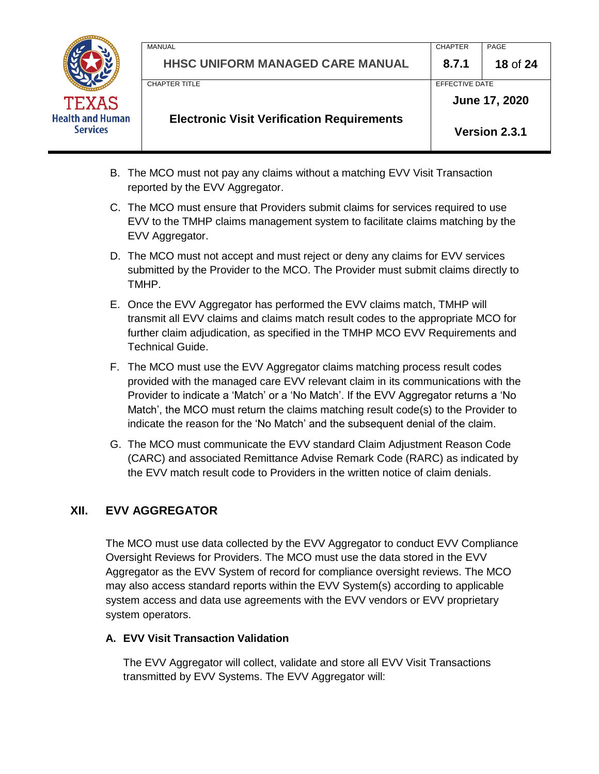

MANUAL PAGE PROPER PROPERTY AND A SERVICE SERVICE SERVICE SERVICE SERVICE SERVICE SERVICE SERVICE SERVICE SERVICE SERVICE SERVICE SERVICE SERVICE SERVICE SERVICE SERVICE SERVICE SERVICE SERVICE SERVICE SERVICE SERVICE SERV **HHSC UNIFORM MANAGED CARE MANUAL 8.7.1 18** of **24** CHAPTER TITLE **EFFECTIVE DATE Electronic Visit Verification Requirements June 17, 2020 Version 2.3.1**

- B. The MCO must not pay any claims without a matching EVV Visit Transaction reported by the EVV Aggregator.
- C. The MCO must ensure that Providers submit claims for services required to use EVV to the TMHP claims management system to facilitate claims matching by the EVV Aggregator.
- D. The MCO must not accept and must reject or deny any claims for EVV services submitted by the Provider to the MCO. The Provider must submit claims directly to TMHP.
- E. Once the EVV Aggregator has performed the EVV claims match, TMHP will transmit all EVV claims and claims match result codes to the appropriate MCO for further claim adjudication, as specified in the TMHP MCO EVV Requirements and Technical Guide.
- F. The MCO must use the EVV Aggregator claims matching process result codes provided with the managed care EVV relevant claim in its communications with the Provider to indicate a 'Match' or a 'No Match'. If the EVV Aggregator returns a 'No Match', the MCO must return the claims matching result code(s) to the Provider to indicate the reason for the 'No Match' and the subsequent denial of the claim.
- G. The MCO must communicate the EVV standard Claim Adjustment Reason Code (CARC) and associated Remittance Advise Remark Code (RARC) as indicated by the EVV match result code to Providers in the written notice of claim denials.

# **XII. EVV AGGREGATOR**

The MCO must use data collected by the EVV Aggregator to conduct EVV Compliance Oversight Reviews for Providers. The MCO must use the data stored in the EVV Aggregator as the EVV System of record for compliance oversight reviews. The MCO may also access standard reports within the EVV System(s) according to applicable system access and data use agreements with the EVV vendors or EVV proprietary system operators.

#### **A. EVV Visit Transaction Validation**

The EVV Aggregator will collect, validate and store all EVV Visit Transactions transmitted by EVV Systems. The EVV Aggregator will: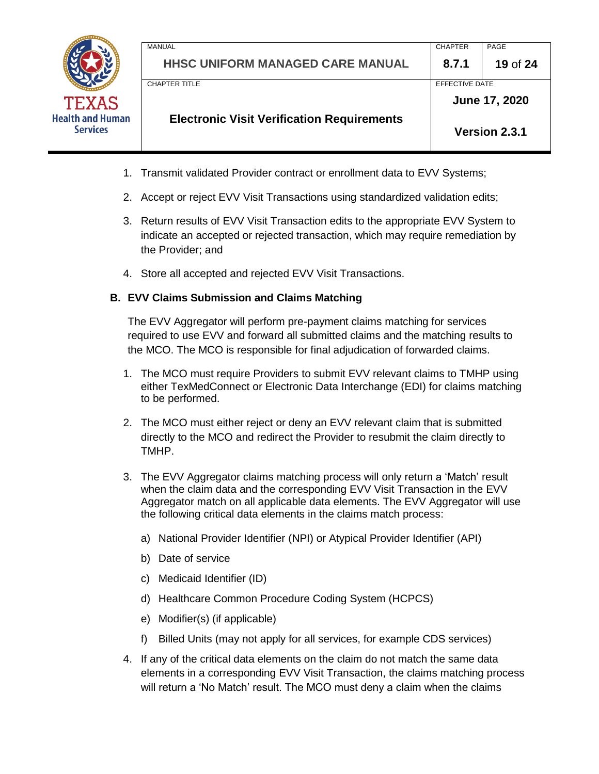

MANUAL PAGE PROPER PROPERTY AND A SERVICE SERVICE SERVICE SERVICE SERVICE SERVICE SERVICE SERVICE SERVICE SERVICE SERVICE SERVICE SERVICE SERVICE SERVICE SERVICE SERVICE SERVICE SERVICE SERVICE SERVICE SERVICE SERVICE SERV **HHSC UNIFORM MANAGED CARE MANUAL 8.7.1 19** of **24** CHAPTER TITLE **EFFECTIVE DATE Electronic Visit Verification Requirements June 17, 2020 Version 2.3.1**

- 1. Transmit validated Provider contract or enrollment data to EVV Systems;
- 2. Accept or reject EVV Visit Transactions using standardized validation edits;
- 3. Return results of EVV Visit Transaction edits to the appropriate EVV System to indicate an accepted or rejected transaction, which may require remediation by the Provider; and
- 4. Store all accepted and rejected EVV Visit Transactions.

#### **B. EVV Claims Submission and Claims Matching**

The EVV Aggregator will perform pre-payment claims matching for services required to use EVV and forward all submitted claims and the matching results to the MCO. The MCO is responsible for final adjudication of forwarded claims.

- 1. The MCO must require Providers to submit EVV relevant claims to TMHP using either TexMedConnect or Electronic Data Interchange (EDI) for claims matching to be performed.
- 2. The MCO must either reject or deny an EVV relevant claim that is submitted directly to the MCO and redirect the Provider to resubmit the claim directly to TMHP.
- 3. The EVV Aggregator claims matching process will only return a 'Match' result when the claim data and the corresponding EVV Visit Transaction in the EVV Aggregator match on all applicable data elements. The EVV Aggregator will use the following critical data elements in the claims match process:
	- a) National Provider Identifier (NPI) or Atypical Provider Identifier (API)
	- b) Date of service
	- c) Medicaid Identifier (ID)
	- d) Healthcare Common Procedure Coding System (HCPCS)
	- e) Modifier(s) (if applicable)
	- f) Billed Units (may not apply for all services, for example CDS services)
- 4. If any of the critical data elements on the claim do not match the same data elements in a corresponding EVV Visit Transaction, the claims matching process will return a 'No Match' result. The MCO must deny a claim when the claims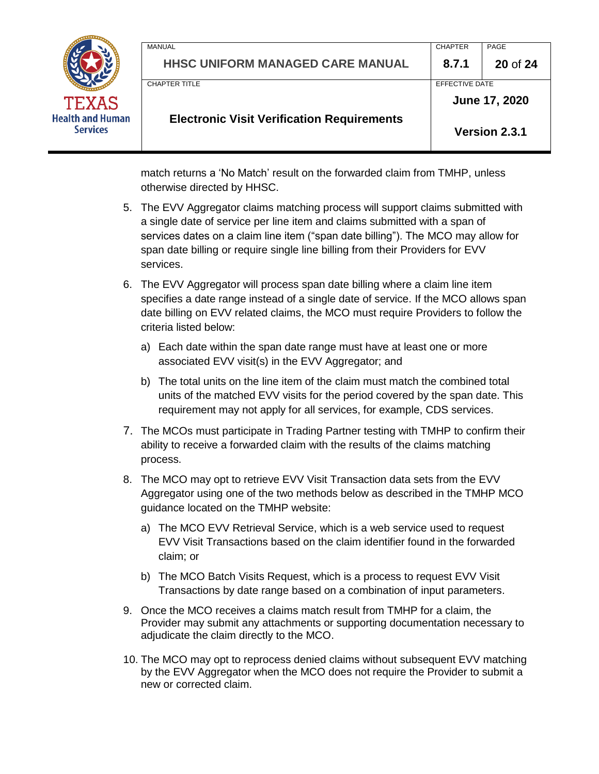

match returns a 'No Match' result on the forwarded claim from TMHP, unless otherwise directed by HHSC.

- 5. The EVV Aggregator claims matching process will support claims submitted with a single date of service per line item and claims submitted with a span of services dates on a claim line item ("span date billing"). The MCO may allow for span date billing or require single line billing from their Providers for EVV services.
- 6. The EVV Aggregator will process span date billing where a claim line item specifies a date range instead of a single date of service. If the MCO allows span date billing on EVV related claims, the MCO must require Providers to follow the criteria listed below:
	- a) Each date within the span date range must have at least one or more associated EVV visit(s) in the EVV Aggregator; and
	- b) The total units on the line item of the claim must match the combined total units of the matched EVV visits for the period covered by the span date. This requirement may not apply for all services, for example, CDS services.
- 7. The MCOs must participate in Trading Partner testing with TMHP to confirm their ability to receive a forwarded claim with the results of the claims matching process.
- 8. The MCO may opt to retrieve EVV Visit Transaction data sets from the EVV Aggregator using one of the two methods below as described in the TMHP MCO guidance located on the TMHP website:
	- a) The MCO EVV Retrieval Service, which is a web service used to request EVV Visit Transactions based on the claim identifier found in the forwarded claim; or
	- b) The MCO Batch Visits Request, which is a process to request EVV Visit Transactions by date range based on a combination of input parameters.
- 9. Once the MCO receives a claims match result from TMHP for a claim, the Provider may submit any attachments or supporting documentation necessary to adjudicate the claim directly to the MCO.
- 10. The MCO may opt to reprocess denied claims without subsequent EVV matching by the EVV Aggregator when the MCO does not require the Provider to submit a new or corrected claim.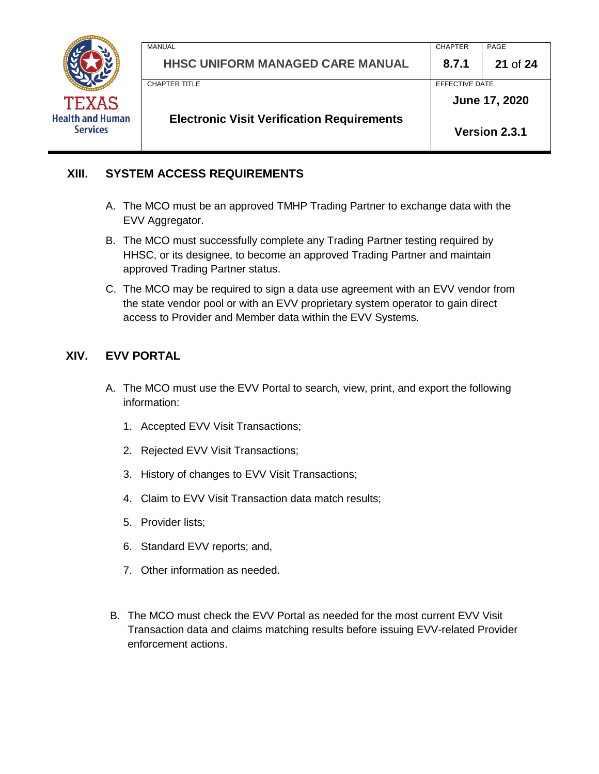

| <b>HHSC UNIFORM MANAGED CARE MANUAL</b><br>8.7.1<br>EFFECTIVE DATE<br>CHAPTER TITLE<br>June 17, 2020 | <b>Electronic Visit Verification Requirements</b> |                | Version 2.3.1 |  |
|------------------------------------------------------------------------------------------------------|---------------------------------------------------|----------------|---------------|--|
|                                                                                                      |                                                   |                |               |  |
|                                                                                                      |                                                   |                |               |  |
|                                                                                                      |                                                   |                | 21 of $24$    |  |
|                                                                                                      | MANUAL                                            | <b>CHAPTER</b> | PAGE          |  |

### **XIII. SYSTEM ACCESS REQUIREMENTS**

- A. The MCO must be an approved TMHP Trading Partner to exchange data with the EVV Aggregator.
- B. The MCO must successfully complete any Trading Partner testing required by HHSC, or its designee, to become an approved Trading Partner and maintain approved Trading Partner status.
- C. The MCO may be required to sign a data use agreement with an EVV vendor from the state vendor pool or with an EVV proprietary system operator to gain direct access to Provider and Member data within the EVV Systems.

# **XIV. EVV PORTAL**

- A. The MCO must use the EVV Portal to search, view, print, and export the following information:
	- 1. Accepted EVV Visit Transactions;
	- 2. Rejected EVV Visit Transactions;
	- 3. History of changes to EVV Visit Transactions;
	- 4. Claim to EVV Visit Transaction data match results;
	- 5. Provider lists;
	- 6. Standard EVV reports; and,
	- 7. Other information as needed.
- B. The MCO must check the EVV Portal as needed for the most current EVV Visit Transaction data and claims matching results before issuing EVV-related Provider enforcement actions.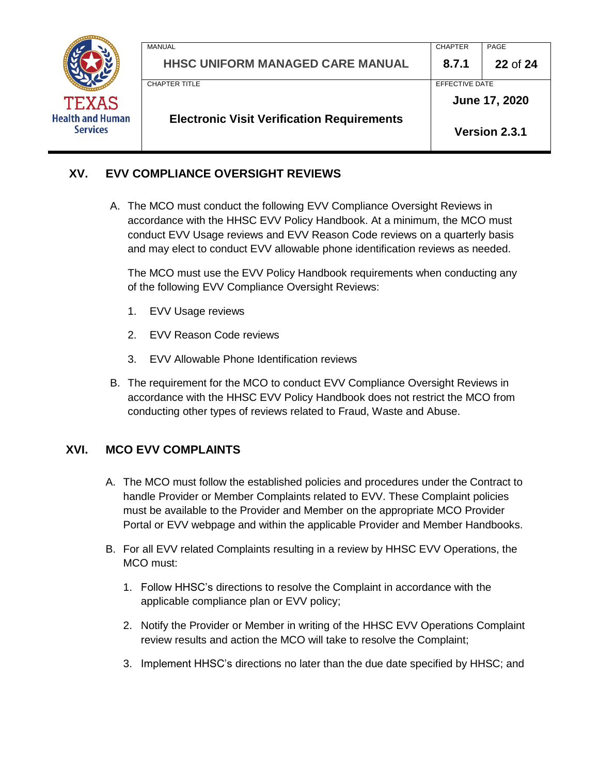

| <b>Electronic Visit Verification Requirements</b> |                | Version 2.3.1 |
|---------------------------------------------------|----------------|---------------|
|                                                   |                | June 17, 2020 |
| CHAPTER TITLE                                     | EFFECTIVE DATE |               |
| <b>HHSC UNIFORM MANAGED CARE MANUAL</b>           | 8.7.1          | 22 of 24      |
| <b>MANUAL</b>                                     | <b>CHAPTER</b> | PAGE          |
|                                                   |                |               |

# **XV. EVV COMPLIANCE OVERSIGHT REVIEWS**

A. The MCO must conduct the following EVV Compliance Oversight Reviews in accordance with the HHSC EVV Policy Handbook. At a minimum, the MCO must conduct EVV Usage reviews and EVV Reason Code reviews on a quarterly basis and may elect to conduct EVV allowable phone identification reviews as needed.

The MCO must use the EVV Policy Handbook requirements when conducting any of the following EVV Compliance Oversight Reviews:

- 1. EVV Usage reviews
- 2. EVV Reason Code reviews
- 3. EVV Allowable Phone Identification reviews
- B. The requirement for the MCO to conduct EVV Compliance Oversight Reviews in accordance with the HHSC EVV Policy Handbook does not restrict the MCO from conducting other types of reviews related to Fraud, Waste and Abuse.

#### **XVI. MCO EVV COMPLAINTS**

- A. The MCO must follow the established policies and procedures under the Contract to handle Provider or Member Complaints related to EVV. These Complaint policies must be available to the Provider and Member on the appropriate MCO Provider Portal or EVV webpage and within the applicable Provider and Member Handbooks.
- B. For all EVV related Complaints resulting in a review by HHSC EVV Operations, the MCO must:
	- 1. Follow HHSC's directions to resolve the Complaint in accordance with the applicable compliance plan or EVV policy;
	- 2. Notify the Provider or Member in writing of the HHSC EVV Operations Complaint review results and action the MCO will take to resolve the Complaint;
	- 3. Implement HHSC's directions no later than the due date specified by HHSC; and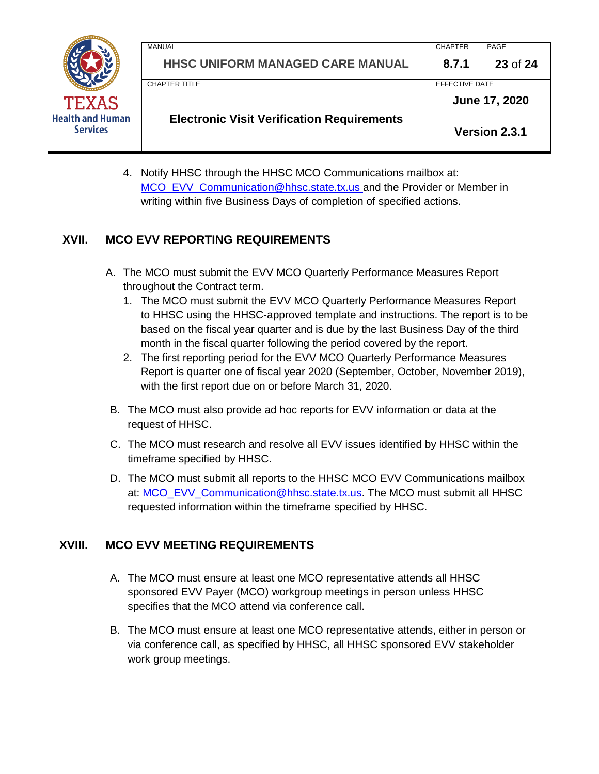

| <b>Electronic Visit Verification Requirements</b> |                |               |
|---------------------------------------------------|----------------|---------------|
|                                                   |                | June 17, 2020 |
| CHAPTER TITLE                                     | EFFECTIVE DATE |               |
| <b>HHSC UNIFORM MANAGED CARE MANUAL</b>           | 8.7.1          | 23 of 24      |
| MANUAL                                            | <b>CHAPTER</b> | PAGE          |

4. Notify HHSC through the HHSC MCO Communications mailbox at: [MCO\\_EVV\\_Communication@hhsc.state.tx.us](mailto:MCO_EVV_Communication@hhsc.state.tx.us) and the Provider or Member in writing within five Business Days of completion of specified actions.

# **XVII. MCO EVV REPORTING REQUIREMENTS**

- A. The MCO must submit the EVV MCO Quarterly Performance Measures Report throughout the Contract term.
	- 1. The MCO must submit the EVV MCO Quarterly Performance Measures Report to HHSC using the HHSC-approved template and instructions. The report is to be based on the fiscal year quarter and is due by the last Business Day of the third month in the fiscal quarter following the period covered by the report.
	- 2. The first reporting period for the EVV MCO Quarterly Performance Measures Report is quarter one of fiscal year 2020 (September, October, November 2019), with the first report due on or before March 31, 2020.
- B. The MCO must also provide ad hoc reports for EVV information or data at the request of HHSC.
- C. The MCO must research and resolve all EVV issues identified by HHSC within the timeframe specified by HHSC.
- D. The MCO must submit all reports to the HHSC MCO EVV Communications mailbox at: [MCO\\_EVV\\_Communication@hhsc.state.tx.us.](mailto:MCO_EVV_Communication@hhsc.state.tx.us) The MCO must submit all HHSC requested information within the timeframe specified by HHSC.

# **XVIII. MCO EVV MEETING REQUIREMENTS**

- A. The MCO must ensure at least one MCO representative attends all HHSC sponsored EVV Payer (MCO) workgroup meetings in person unless HHSC specifies that the MCO attend via conference call.
- B. The MCO must ensure at least one MCO representative attends, either in person or via conference call, as specified by HHSC, all HHSC sponsored EVV stakeholder work group meetings.